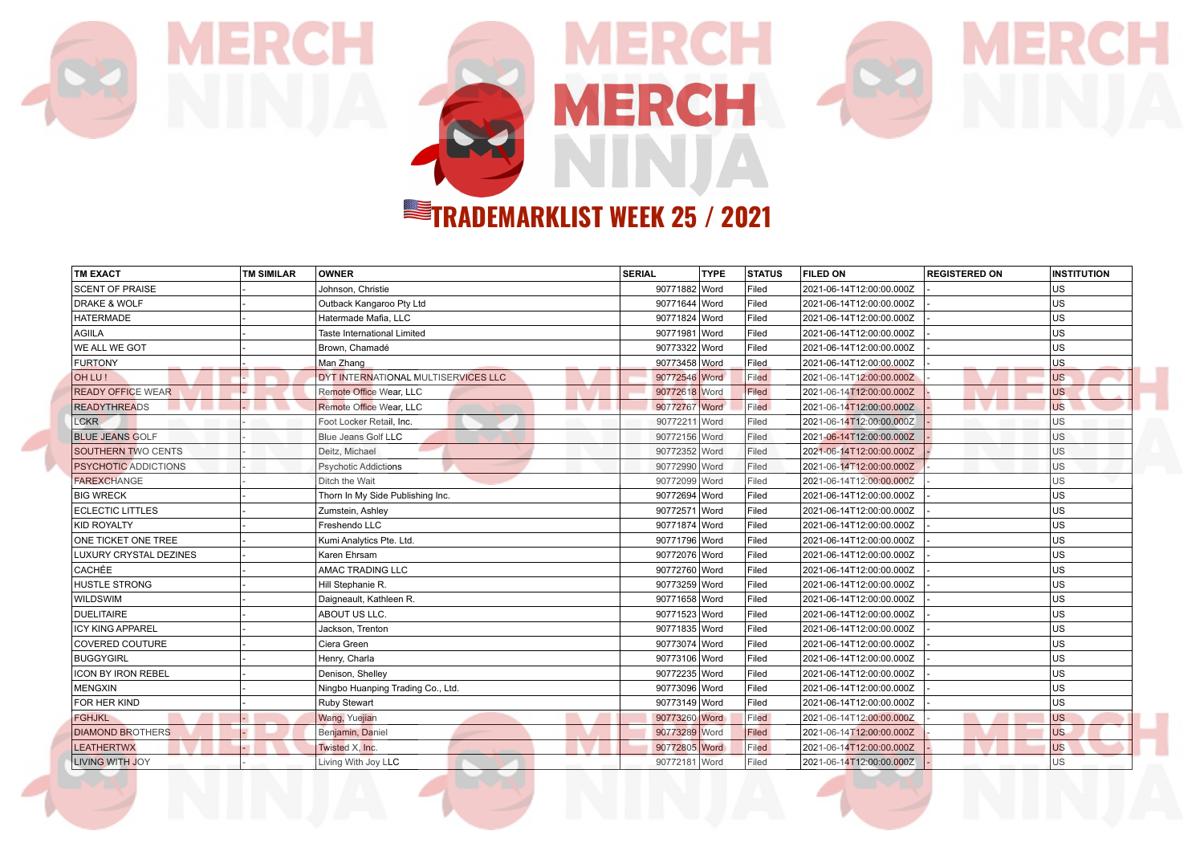

MERCH

| <b>TM EXACT</b>             | <b>TM SIMILAR</b> | <b>OWNER</b>                        | <b>SERIAL</b> | <b>TYPE</b> | <b>STATUS</b> | <b>FILED ON</b>          | <b>REGISTERED ON</b> | <b>INSTITUTION</b> |
|-----------------------------|-------------------|-------------------------------------|---------------|-------------|---------------|--------------------------|----------------------|--------------------|
| <b>SCENT OF PRAISE</b>      |                   | Johnson, Christie                   | 90771882 Word |             | Filed         | 2021-06-14T12:00:00.000Z |                      | US                 |
| <b>DRAKE &amp; WOLF</b>     |                   | Outback Kangaroo Pty Ltd            | 90771644 Word |             | Filed         | 2021-06-14T12:00:00.000Z |                      | US                 |
| <b>HATERMADE</b>            |                   | Hatermade Mafia, LLC                | 90771824 Word |             | Filed         | 2021-06-14T12:00:00.000Z |                      | US                 |
| AGIILA                      |                   | Taste International Limited         | 90771981 Word |             | Filed         | 2021-06-14T12:00:00.000Z |                      | <b>US</b>          |
| WE ALL WE GOT               |                   | Brown, Chamadé                      | 90773322 Word |             | Filed         | 2021-06-14T12:00:00.000Z |                      | <b>US</b>          |
| <b>FURTONY</b>              |                   | Man Zhang                           | 90773458 Word |             | Filed         | 2021-06-14T12:00:00.000Z |                      | US                 |
| OH LU!                      |                   | DYT INTERNATIONAL MULTISERVICES LLC | 90772546 Word |             | Filed         | 2021-06-14T12:00:00.000Z |                      | <b>US</b>          |
| <b>READY OFFICE WEAR</b>    |                   | Remote Office Wear, LLC             | 90772618 Word |             | Filed         | 2021-06-14T12:00:00.000Z |                      | <b>US</b>          |
| <b>READYTHREADS</b>         |                   | Remote Office Wear, LLC             | 90772767 Word |             | Filed         | 2021-06-14T12:00:00.000Z |                      | <b>US</b>          |
| <b>LCKR</b>                 |                   | Foot Locker Retail, Inc.            | 90772211 Word |             | Filed         | 2021-06-14T12:00:00.000Z |                      | US                 |
| <b>BLUE JEANS GOLF</b>      |                   | <b>Blue Jeans Golf LLC</b>          | 90772156 Word |             | Filed         | 2021-06-14T12:00:00.000Z |                      | US                 |
| <b>SOUTHERN TWO CENTS</b>   |                   | Deitz, Michael                      | 90772352 Word |             | Filed         | 2021-06-14T12:00:00.000Z |                      | <b>US</b>          |
| <b>PSYCHOTIC ADDICTIONS</b> |                   | <b>Psychotic Addictions</b>         | 90772990 Word |             | Filed         | 2021-06-14T12:00:00.000Z |                      | US                 |
| <b>FAREXCHANGE</b>          |                   | Ditch the Wait                      | 90772099 Word |             | Filed         | 2021-06-14T12:00:00.000Z |                      | US                 |
| <b>BIG WRECK</b>            |                   | Thorn In My Side Publishing Inc.    | 90772694 Word |             | Filed         | 2021-06-14T12:00:00.000Z |                      | US                 |
| <b>ECLECTIC LITTLES</b>     |                   | Zumstein, Ashley                    | 90772571 Word |             | Filed         | 2021-06-14T12:00:00.000Z |                      | US                 |
| KID ROYALTY                 |                   | Freshendo LLC                       | 90771874 Word |             | Filed         | 2021-06-14T12:00:00.000Z |                      | US                 |
| ONE TICKET ONE TREE         |                   | Kumi Analytics Pte. Ltd.            | 90771796 Word |             | Filed         | 2021-06-14T12:00:00.000Z |                      | US                 |
| LUXURY CRYSTAL DEZINES      |                   | Karen Ehrsam                        | 90772076 Word |             | Filed         | 2021-06-14T12:00:00.000Z |                      | US                 |
| <b>CACHÉE</b>               |                   | AMAC TRADING LLC                    | 90772760 Word |             | Filed         | 2021-06-14T12:00:00.000Z |                      | US                 |
| <b>HUSTLE STRONG</b>        |                   | Hill Stephanie R.                   | 90773259 Word |             | Filed         | 2021-06-14T12:00:00.000Z |                      | lus                |
| <b>WILDSWIM</b>             |                   | Daigneault, Kathleen R.             | 90771658 Word |             | Filed         | 2021-06-14T12:00:00.000Z |                      | US                 |
| <b>DUELITAIRE</b>           |                   | ABOUT US LLC.                       | 90771523 Word |             | Filed         | 2021-06-14T12:00:00.000Z |                      | US                 |
| <b>ICY KING APPAREL</b>     |                   | Jackson, Trenton                    | 90771835 Word |             | Filed         | 2021-06-14T12:00:00.000Z |                      | US                 |
| <b>COVERED COUTURE</b>      |                   | Ciera Green                         | 90773074 Word |             | Filed         | 2021-06-14T12:00:00.000Z |                      | US                 |
| BUGGYGIRL                   |                   | Henry, Charla                       | 90773106 Word |             | Filed         | 2021-06-14T12:00:00.000Z |                      | lus                |
| <b>ICON BY IRON REBEL</b>   |                   | Denison, Shellev                    | 90772235 Word |             | Filed         | 2021-06-14T12:00:00.000Z |                      | <b>US</b>          |
| MENGXIN                     |                   | Ningbo Huanping Trading Co., Ltd.   | 90773096 Word |             | Filed         | 2021-06-14T12:00:00.000Z |                      | <b>US</b>          |
| FOR HER KIND                |                   | Ruby Stewart                        | 90773149 Word |             | Filed         | 2021-06-14T12:00:00.000Z |                      | US                 |
| <b>FGHJKL</b>               |                   | Wang, Yuejian                       | 90773260 Word |             | Filed         | 2021-06-14T12:00:00.000Z |                      | <b>US</b>          |
| <b>DIAMOND BROTHERS</b>     |                   | Benjamin, Daniel                    | 90773289 Word |             | Filed         | 2021-06-14T12:00:00.000Z |                      | <b>US</b>          |
| <b>LEATHERTWX</b>           |                   | Twisted X, Inc.                     | 90772805 Word |             | Filed         | 2021-06-14T12:00:00.000Z |                      | <b>US</b>          |
| LIVING WITH JOY             |                   | Living With Joy LLC                 | 90772181 Word |             | Filed         | 2021-06-14T12:00:00.000Z |                      | US                 |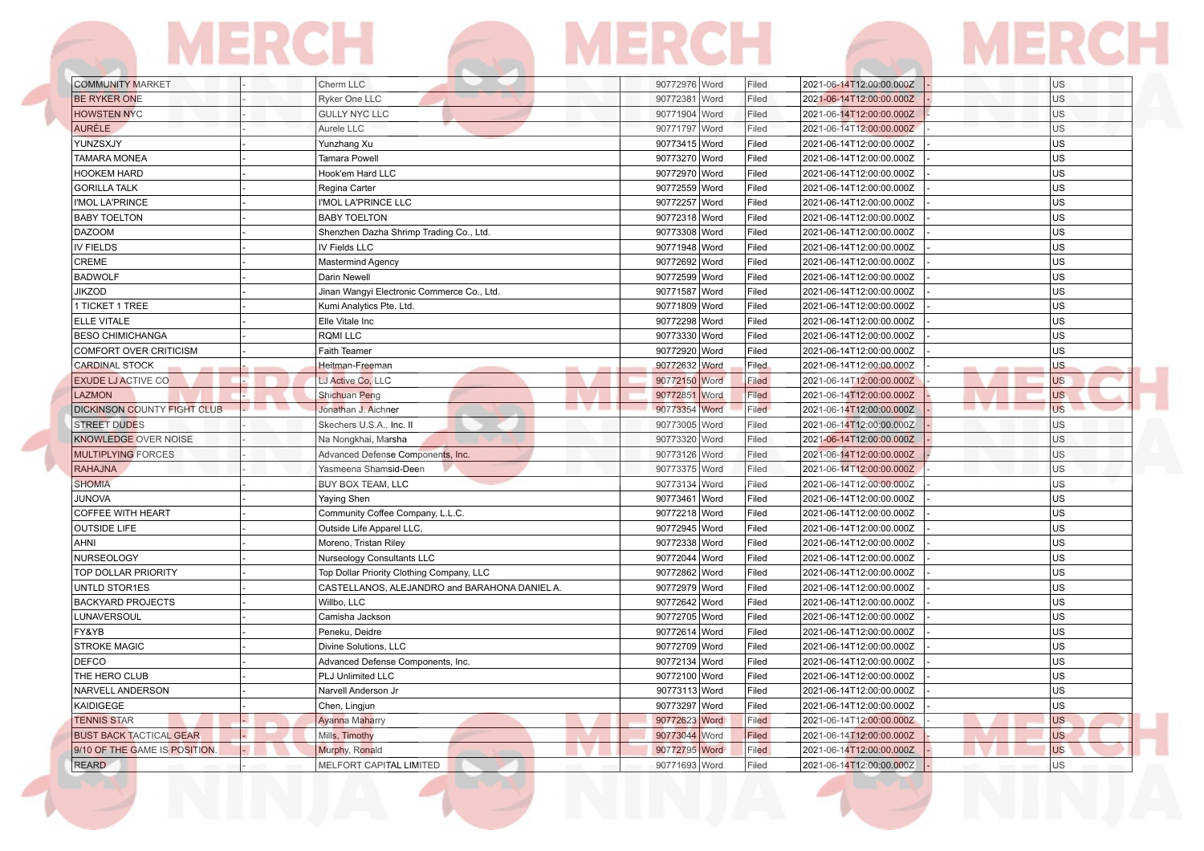| <b>COMMUNITY MARKET</b>            | Cherm LLC                                                  | 90772976 Word<br>Filed          | 2021-06-14T12:00:00.000Z<br><b>US</b>                                  |
|------------------------------------|------------------------------------------------------------|---------------------------------|------------------------------------------------------------------------|
| <b>BE RYKER ONE</b>                | <b>Ryker One LLC</b>                                       | 90772381 Word<br>Filed          | 2021-06-14T12:00:00.000Z<br>US                                         |
| <b>HOWSTEN NYC</b>                 | <b>GULLY NYC LLC</b>                                       | 90771904 Word<br>Filed          | 2021-06-14T12:00:00.000Z<br>US                                         |
| <b>AURÈLE</b>                      | Aurele LLC                                                 | 90771797 Word<br>Filed          | 2021-06-14T12:00:00.000Z<br>US                                         |
| YUNZSXJY                           | Yunzhang Xu                                                | 90773415 Word<br>Filed          | US<br>2021-06-14T12:00:00.000Z                                         |
| <b>TAMARA MONEA</b>                | Tamara Powell                                              | 90773270 Word<br>Filed          | US<br>2021-06-14T12:00:00.000Z                                         |
| <b>HOOKEM HARD</b>                 | Hook'em Hard LLC                                           | 90772970 Word<br>Filed          | US<br>2021-06-14T12:00:00.000Z                                         |
| <b>GORILLA TALK</b>                | Regina Carter                                              | 90772559 Word<br>Filed          | US<br>2021-06-14T12:00:00.000Z                                         |
| I'MOL LA'PRINCE                    | I'MOL LA'PRINCE LLC                                        | 90772257 Word<br>Filed          | 2021-06-14T12:00:00.000Z<br>US                                         |
| <b>BABY TOELTON</b>                | <b>BABY TOELTON</b>                                        | 90772318 Word<br>Filed          | US<br>2021-06-14T12:00:00.000Z                                         |
| <b>DAZOOM</b>                      | Shenzhen Dazha Shrimp Trading Co., Ltd.                    | 90773308 Word<br>Filed          | US<br>2021-06-14T12:00:00.000Z                                         |
| <b>IV FIELDS</b>                   | IV Fields LLC                                              | 90771948 Word<br>Filed          | <b>US</b><br>2021-06-14T12:00:00.000Z                                  |
| CREME                              | Mastermind Agency                                          | 90772692 Word<br>Filed          | US<br>2021-06-14T12:00:00.000Z                                         |
| <b>BADWOLF</b>                     | Darin Newell                                               | 90772599 Word<br>Filed          | US<br>2021-06-14T12:00:00.000Z                                         |
| <b>JIKZOD</b>                      | Jinan Wangyi Electronic Commerce Co., Ltd.                 | 90771587 Word<br>Filed          | US<br>2021-06-14T12:00:00.000Z                                         |
| 1 TICKET 1 TREE                    | Kumi Analytics Pte. Ltd.                                   | 90771809 Word<br>Filed          | US<br>2021-06-14T12:00:00.000Z                                         |
| ELLE VITALE                        | Elle Vitale Inc                                            | 90772298 Word<br>Filed          | US<br>2021-06-14T12:00:00.000Z                                         |
| <b>BESO CHIMICHANGA</b>            | RQMI LLC                                                   | 90773330 Word<br>Filed          | US<br>2021-06-14T12:00:00.000Z                                         |
| <b>COMFORT OVER CRITICISM</b>      | Faith Teamer                                               | 90772920 Word<br>Filed          | US<br>2021-06-14T12:00:00.000Z                                         |
| CARDINAL STOCK                     | Heitman-Freeman                                            | 90772632 Word<br>Filed          | 2021-06-14T12:00:00.000Z<br><b>US</b>                                  |
| <b>EXUDE LJ ACTIVE CO</b>          | LJ Active Co, LLC                                          | 90772150 Word<br>Filed          | <b>US</b><br>2021-06-14T12:00:00.000Z                                  |
| <b>LAZMON</b>                      | Shichuan Peng                                              | 90772851 Word<br>Filed          | <b>US</b><br>2021-06-14T12:00:00.000Z                                  |
| <b>DICKINSON COUNTY FIGHT CLUB</b> | <b>STATISTICS</b><br>Jonathan J. Aichner                   | 90773354 Word<br>Filed          | $\blacksquare$ $\blacksquare$<br><b>US</b><br>2021-06-14T12:00:00.000Z |
| <b>STREET DUDES</b>                | Skechers U.S.A., Inc. II                                   | 90773005 Word<br>Filed          | 2021-06-14T12:00:00.000Z<br>US                                         |
| KNOWLEDGE OVER NOISE               | Na Nongkhai, Marsha                                        | 90773320 Word<br>Filed          | US<br>2021-06-14T12:00:00.000Z                                         |
| <b>MULTIPLYING FORCES</b>          | Advanced Defense Components, Inc.                          | 90773126 Word<br>Filed          | US<br>2021-06-14T12:00:00.000Z                                         |
| <b>RAHAJNA</b>                     | Yasmeena Shamsid-Deen                                      | 90773375 Word<br>Filed          | 2021-06-14T12:00:00.000Z<br>US                                         |
| <b>SHOMIA</b>                      | BUY BOX TEAM, LLC                                          | 90773134 Word<br>Filed          | US<br>2021-06-14T12:00:00.000Z                                         |
| <b>JUNOVA</b>                      | Yaying Shen                                                | 90773461 Word<br>Filed          | US<br>2021-06-14T12:00:00.000Z                                         |
| <b>COFFEE WITH HEART</b>           | Community Coffee Company, L.L.C.                           | 90772218 Word<br>Filed          | US<br>2021-06-14T12:00:00.000Z                                         |
| <b>OUTSIDE LIFE</b>                | Outside Life Apparel LLC,                                  | 90772945 Word<br>Filed          | 2021-06-14T12:00:00.000Z<br>US                                         |
| AHNI                               | Moreno, Tristan Riley                                      | 90772338 Word<br>Filed          | US<br>2021-06-14T12:00:00.000Z                                         |
| NURSEOLOGY                         | Nurseology Consultants LLC                                 | 90772044 Word<br>Filed          | US<br>2021-06-14T12:00:00.000Z                                         |
| TOP DOLLAR PRIORITY                | Top Dollar Priority Clothing Company, LLC                  | 90772862 Word<br>Filed          | US<br>2021-06-14T12:00:00.000Z                                         |
| UNTLD STOR1ES                      | CASTELLANOS, ALEJANDRO and BARAHONA DANIEL A.              | 90772979 Word<br>Filed          | US                                                                     |
| <b>BACKYARD PROJECTS</b>           |                                                            | 90772642 Word<br>Filed          | 2021-06-14T12:00:00.000Z<br>US                                         |
| LUNAVERSOUL                        | Willbo, LLC                                                | 90772705 Word                   | 2021-06-14T12:00:00.000Z<br>US                                         |
| FY&YB                              | Camisha Jackson                                            | Filed<br>90772614 Word<br>Filed | 2021-06-14T12:00:00.000Z<br>2021-06-14T12:00:00.000Z<br>US             |
| <b>STROKE MAGIC</b>                | Peneku, Deidre                                             | 90772709 Word<br>Filed          | US                                                                     |
|                                    | Divine Solutions, LLC<br>Advanced Defense Components, Inc. | 90772134 Word<br>Filed          | 2021-06-14T12:00:00.000Z                                               |
| DEFCO                              |                                                            |                                 | US<br>2021-06-14T12:00:00.000Z                                         |
| THE HERO CLUB                      | PLJ Unlimited LLC                                          | 90772100 Word<br>Filed          | US<br>2021-06-14T12:00:00.000Z                                         |
| NARVELL ANDERSON                   | Narvell Anderson Jr                                        | 90773113 Word<br>Filed          | <b>US</b><br>2021-06-14T12:00:00.000Z                                  |
| KAIDIGEGE                          | Chen, Lingjun                                              | 90773297 Word<br>Filed          | US<br>2021-06-14T12:00:00.000Z                                         |
| <b>TENNIS STAR</b>                 | <b>Ayanna Maharry</b>                                      | 90772623 Word<br>Filed          | <b>US</b><br>2021-06-14T12:00:00.000Z                                  |
| <b>BUST BACK TACTICAL GEAR</b>     | Mills, Timothy                                             | 90773044 Word<br>Filed          | <b>US</b><br>2021-06-14T12:00:00.000Z                                  |
| 9/10 OF THE GAME IS POSITION.      | Murphy, Ronald                                             | 90772795 Word<br>Filed          | <b>US</b><br>2021-06-14T12:00:00.000Z                                  |
| REARD                              | MELFORT CAPITAL LIMITED                                    | 90771693 Word<br>Filed          | US<br>2021-06-14T12:00:00.000Z                                         |

**The Contract of Section** 

**CONTRACTOR**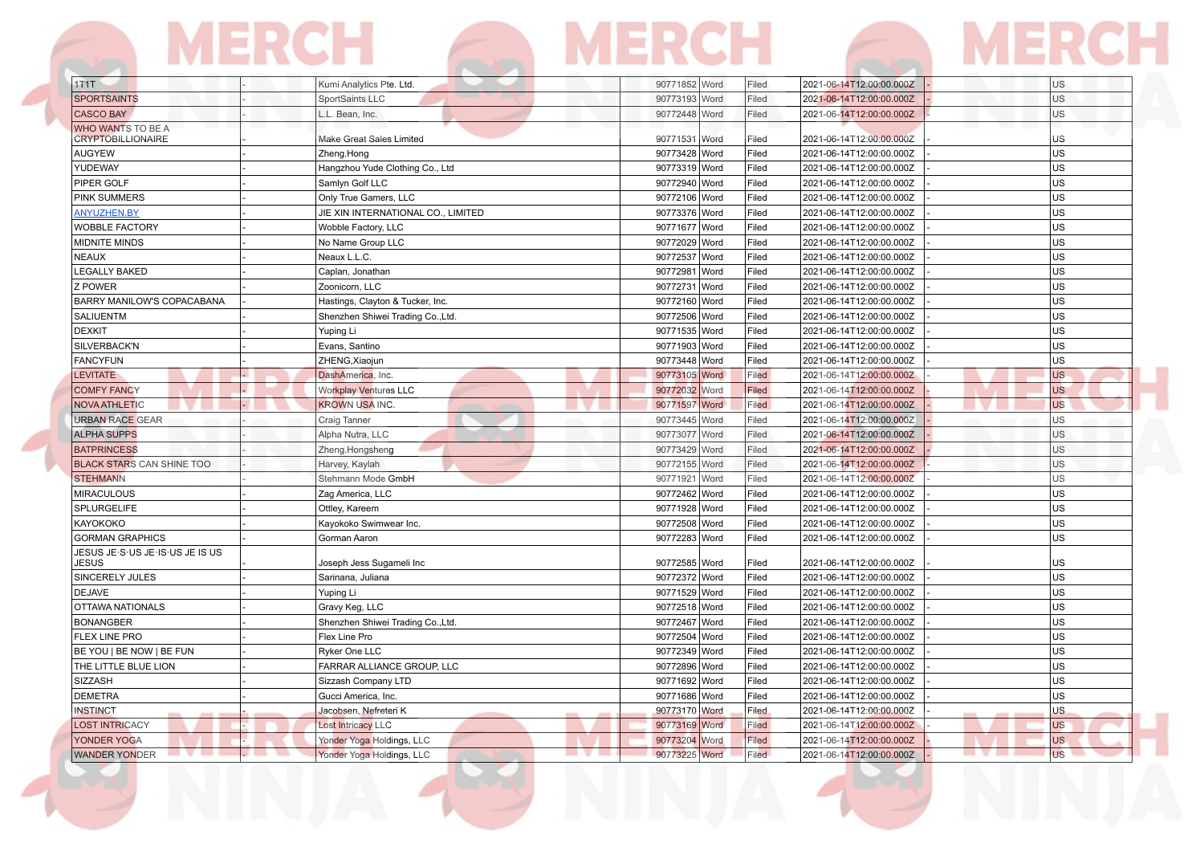| 1T1T                                                      | Kumi Analytics Pte. Ltd.           | 90771852 Word<br>Filed | 2021-06-14T12:00:00.000Z | <b>US</b> |
|-----------------------------------------------------------|------------------------------------|------------------------|--------------------------|-----------|
| <b>SPORTSAINTS</b>                                        | SportSaints LLC                    | 90773193 Word<br>Filed | 2021-06-14T12:00:00.000Z | <b>US</b> |
| <b>CASCO BAY</b>                                          | L.L. Bean, Inc.                    | 90772448 Word<br>Filed | 2021-06-14T12:00:00.000Z | US        |
| WHO WANTS TO BE A<br><b>CRYPTOBILLIONAIRE</b>             | Make Great Sales Limited           | 90771531 Word<br>Filed | 2021-06-14T12:00:00.000Z | US        |
| <b>AUGYEW</b>                                             | Zheng.Hong                         | 90773428 Word<br>Filed | 2021-06-14T12:00:00.000Z | US        |
| YUDEWAY                                                   | Hangzhou Yude Clothing Co., Ltd    | 90773319 Word<br>Filed | 2021-06-14T12:00:00.000Z | <b>US</b> |
| PIPER GOLF                                                | Samlyn Golf LLC                    | 90772940 Word<br>Filed | 2021-06-14T12:00:00.000Z | <b>US</b> |
| <b>PINK SUMMERS</b>                                       | Only True Gamers, LLC              | 90772106 Word<br>Filed | 2021-06-14T12:00:00.000Z | <b>US</b> |
| <b>ANYUZHEN.BY</b>                                        | JIE XIN INTERNATIONAL CO., LIMITED | 90773376 Word<br>Filed | 2021-06-14T12:00:00.000Z | <b>US</b> |
| <b>WOBBLE FACTORY</b>                                     | Wobble Factory, LLC                | 90771677 Word<br>Filed | 2021-06-14T12:00:00.000Z | <b>US</b> |
| <b>MIDNITE MINDS</b>                                      | No Name Group LLC                  | 90772029 Word<br>Filed | 2021-06-14T12:00:00.000Z | US        |
| <b>NEAUX</b>                                              | Neaux L.L.C.                       | 90772537 Word<br>Filed | 2021-06-14T12:00:00.000Z | US        |
| LEGALLY BAKED                                             | Caplan, Jonathan                   | 90772981 Word<br>Filed | 2021-06-14T12:00:00.000Z | <b>US</b> |
| Z POWER                                                   | Zoonicorn, LLC                     | 90772731 Word<br>Filed | 2021-06-14T12:00:00.000Z | US        |
| BARRY MANILOW'S COPACABANA                                | Hastings, Clayton & Tucker, Inc.   | 90772160 Word<br>Filed | 2021-06-14T12:00:00.000Z | US        |
| SALIUENTM                                                 | Shenzhen Shiwei Trading Co., Ltd.  | 90772506 Word<br>Filed | 2021-06-14T12:00:00.000Z | <b>US</b> |
| <b>DEXKIT</b>                                             | Yuping Li                          | 90771535 Word<br>Filed | 2021-06-14T12:00:00.000Z | US        |
| SILVERBACK'N                                              | Evans, Santino                     | 90771903 Word<br>Filed | 2021-06-14T12:00:00.000Z | <b>US</b> |
| <b>FANCYFUN</b>                                           | ZHENG, Xiaojun                     | 90773448 Word<br>Filed | 2021-06-14T12:00:00.000Z | <b>US</b> |
| <b>LEVITATE</b>                                           | DashAmerica, Inc.                  | 90773105 Word<br>Filed | 2021-06-14T12:00:00.000Z | <b>US</b> |
| <b>COMFY FANCY</b>                                        | <b>Workplay Ventures LLC</b>       | 90772032 Word<br>Filed | 2021-06-14T12:00:00.000Z | <b>US</b> |
| <b>NOVA ATHLETIC</b>                                      | <b>KROWN USA INC.</b>              | 90771597 Word<br>Filed | 2021-06-14T12:00:00.000Z | <b>US</b> |
| <b>URBAN RACE GEAR</b>                                    | Craig Tanner                       | 90773445 Word<br>Filed | 2021-06-14T12:00:00.000Z | US        |
| <b>ALPHA SUPPS</b>                                        | Alpha Nutra, LLC                   | 90773077 Word<br>Filed | 2021-06-14T12:00:00.000Z | US        |
| <b>BATPRINCESS</b>                                        | Zheng.Hongsheng                    | 90773429 Word<br>Filed | 2021-06-14T12:00:00.000Z | US        |
| <b>BLACK STARS CAN SHINE TOO</b>                          | Harvey, Kaylah                     | 90772155 Word<br>Filed | 2021-06-14T12:00:00.000Z | US        |
| <b>STEHMANN</b>                                           | Stehmann Mode GmbH                 | 90771921 Word<br>Filed | 2021-06-14T12:00:00.000Z | US        |
| <b>MIRACULOUS</b>                                         | Zag America, LLC                   | 90772462 Word<br>Filed | 2021-06-14T12:00:00.000Z | US        |
| SPLURGELIFE                                               | Ottley, Kareem                     | 90771928 Word<br>Filed | 2021-06-14T12:00:00.000Z | US        |
| KAYOKOKO                                                  | Kayokoko Swimwear Inc.             | 90772508 Word<br>Filed | 2021-06-14T12:00:00.000Z | US        |
|                                                           |                                    | Filed                  |                          | US        |
| <b>GORMAN GRAPHICS</b><br>JESUS JE S US JE IS US JE IS US | Gorman Aaron                       | 90772283 Word          | 2021-06-14T12:00:00.000Z |           |
| JESUS                                                     | Joseph Jess Sugameli Inc           | 90772585 Word<br>Filed | 2021-06-14T12:00:00.000Z | US        |
| SINCERELY JULES                                           | Sarinana, Juliana                  | 90772372 Word<br>Filed | 2021-06-14T12:00:00.000Z | US        |
| <b>DEJAVE</b>                                             | Yuping Li                          | 90771529 Word<br>Filed | 2021-06-14T12:00:00.000Z | US        |
| OTTAWA NATIONALS                                          | Gravy Keg, LLC                     | 90772518 Word<br>Filed | 2021-06-14T12:00:00.000Z | US        |
| <b>BONANGBER</b>                                          | Shenzhen Shiwei Trading Co., Ltd.  | 90772467 Word<br>Filed | 2021-06-14T12:00:00.000Z | US        |
| FLEX LINE PRO                                             | Flex Line Pro                      | 90772504 Word<br>Filed | 2021-06-14T12:00:00.000Z | US        |
| BE YOU   BE NOW   BE FUN                                  | <b>Ryker One LLC</b>               | 90772349 Word<br>Filed | 2021-06-14T12:00:00.000Z | US        |
| THE LITTLE BLUE LION                                      | FARRAR ALLIANCE GROUP, LLC         | 90772896 Word<br>Filed | 2021-06-14T12:00:00.000Z | US        |
| SIZZASH                                                   | Sizzash Company LTD                | 90771692 Word<br>Filed | 2021-06-14T12:00:00.000Z | US        |
| <b>DEMETRA</b>                                            | Gucci America, Inc.                | 90771686 Word<br>Filed | 2021-06-14T12:00:00.000Z | <b>US</b> |
| <b>INSTINCT</b>                                           | Jacobsen, Nefreteri K              | 90773170 Word<br>Filed | 2021-06-14T12:00:00.000Z | US        |
| <b>LOST INTRICACY</b>                                     | <b>Lost Intricacy LLC</b>          | 90773169 Word<br>Filed | 2021-06-14T12:00:00.000Z | US        |
|                                                           |                                    |                        |                          |           |
| YONDER YOGA                                               | Yonder Yoga Holdings, LLC          | 90773204 Word<br>Filed | 2021-06-14T12:00:00.000Z | US        |

**STATISTICS**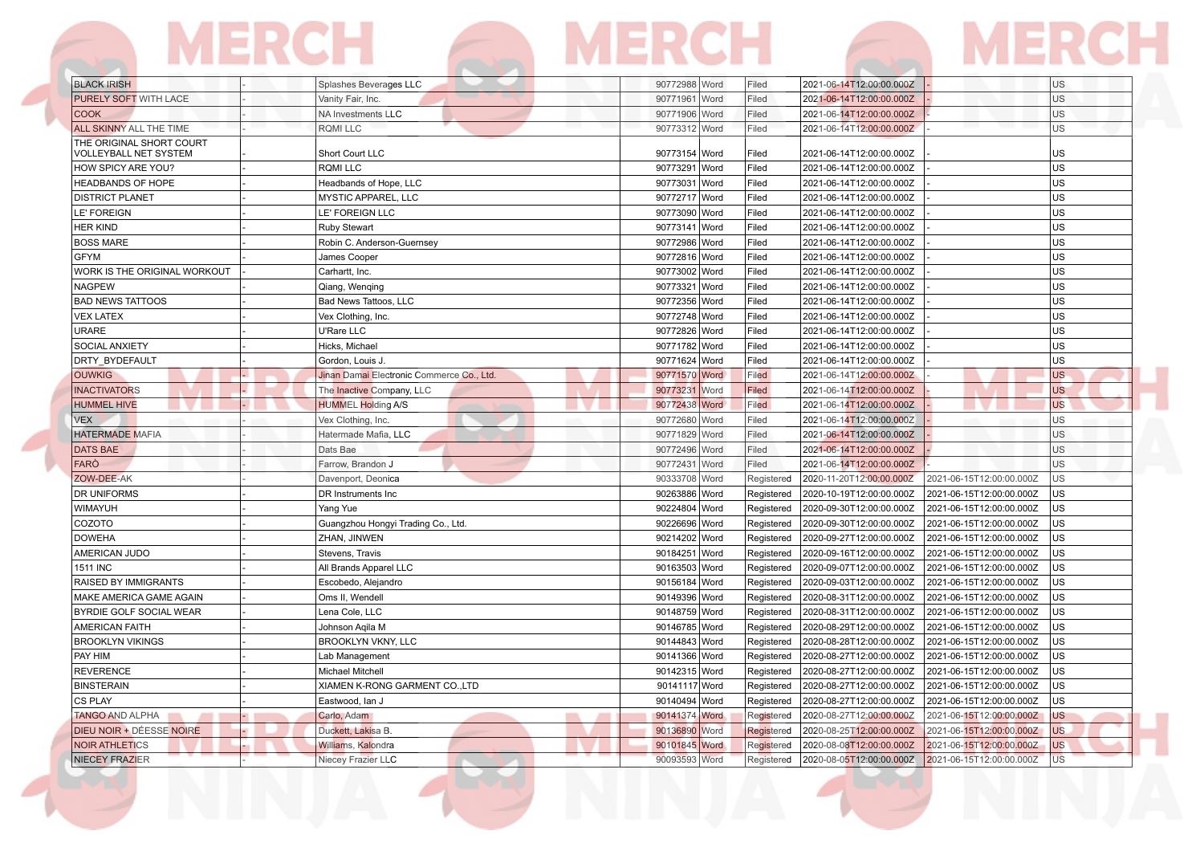|                                                   | MERCH |                            | MERCH         |       |                          | MERCF           |
|---------------------------------------------------|-------|----------------------------|---------------|-------|--------------------------|-----------------|
| <b>BLACK IRISH</b>                                |       | Splashes Beverages LLC     | 90772988 Word | Filed | 2021-06-14T12:00:00.000Z | U <sub>S</sub>  |
| <b>PURELY SOFT WITH LACE</b>                      |       | Vanity Fair, Inc.          | 90771961 Word | Filed | 2021-06-14T12:00:00.000Z | US <sub>1</sub> |
| <b>COOK</b>                                       |       | NA Investments LLC         | 90771906 Word | Filed | 2021-06-14T12:00:00.000Z | <b>US</b>       |
| <b>ALL SKINNY ALL THE TIME</b>                    |       | <b>RQMILLC</b>             | 90773312 Word | Filed | 2021-06-14T12:00:00.000Z | <b>US</b>       |
| THE ORIGINAL SHORT COURT<br>VOLLEYBALL NET SYSTEM |       | Short Court LLC            | 90773154 Word | Filed | 2021-06-14T12:00:00.000Z | lus.            |
| <b>HOW SPICY ARE YOU?</b>                         |       | RQMI LLC                   | 90773291 Word | Filed | 2021-06-14T12:00:00.000Z | lus.            |
| <b>HEADBANDS OF HOPE</b>                          |       | Headbands of Hope, LLC     | 90773031 Word | Filed | 2021-06-14T12:00:00.000Z | lus             |
| <b>DISTRICT PLANET</b>                            |       | MYSTIC APPAREL, LLC        | 90772717 Word | Filed | 2021-06-14T12:00:00.000Z | lus.            |
| LE' FOREIGN                                       |       | LE' FOREIGN LLC            | 90773090 Word | Filed | 2021-06-14T12:00:00.000Z | lus             |
| <b>HER KIND</b>                                   |       | <b>Ruby Stewart</b>        | 90773141 Word | Filed | 2021-06-14T12:00:00.000Z | <b>US</b>       |
| <b>BOSS MARE</b>                                  |       | Robin C. Anderson-Guernsey | 90772986 Word | Filed | 2021-06-14T12:00:00.000Z | lus.            |
| GFYM                                              |       | James Cooper               | 90772816 Word | Filed | 2021-06-14T12:00:00.000Z | lus             |
| WORK IS THE ORIGINAL WORKOUT                      |       | Carhartt, Inc.             | 90773002 Word | Filed | 2021-06-14T12:00:00.000Z | lus.            |
| <b>NAGPEW</b>                                     |       | Qiang, Wenging             | 90773321 Word | Filed | 2021-06-14T12:00:00.000Z | lus.            |
| <b>BAD NEWS TATTOOS</b>                           |       | Bad News Tattoos, LLC      | 90772356 Word | Filed | 2021-06-14T12:00:00.000Z | lus.            |
| <b>VEX LATEX</b>                                  |       | Vex Clothing, Inc.         | 90772748 Word | Filed | 2021-06-14T12:00:00.000Z | lus.            |
| URARE                                             |       | U'Rare LLC                 | 90772826 Word | Filed | 2021-06-14T12:00:00.000Z | lus.            |
|                                                   |       |                            |               |       |                          |                 |

| URARE                           | U'Rare LLC                                | 90772826 Word | Filed      | 2021-06-14T12:00:00.000Z |                          | US        |
|---------------------------------|-------------------------------------------|---------------|------------|--------------------------|--------------------------|-----------|
| <b>SOCIAL ANXIETY</b>           | Hicks, Michael                            | 90771782 Word | Filed      | 2021-06-14T12:00:00.000Z |                          | lus       |
| <b>DRTY BYDEFAULT</b>           | Gordon, Louis J.                          | 90771624 Word | Filed      | 2021-06-14T12:00:00.000Z |                          | US        |
| <b>OUWKIG</b>                   | Jinan Damai Electronic Commerce Co., Ltd. | 90771570 Word | Filed      | 2021-06-14T12:00:00.000Z |                          | <b>US</b> |
| <b>INACTIVATORS</b>             | The Inactive Company, LLC                 | 90773231 Word | Filed      | 2021-06-14T12:00:00.000Z |                          | <b>US</b> |
| <b>HUMMEL HIVE</b>              | <b>HUMMEL Holding A/S</b>                 | 90772438 Word | Filed      | 2021-06-14T12:00:00.000Z |                          | <b>US</b> |
| <b>VEX</b>                      | Vex Clothing, Inc.                        | 90772680 Word | Filed      | 2021-06-14T12:00:00.000Z |                          | US        |
| <b>HATERMADE MAFIA</b>          | Hatermade Mafia, LLC                      | 90771829 Word | Filed      | 2021-06-14T12:00:00.000Z |                          | US        |
| <b>DATS BAE</b>                 | Dats Bae                                  | 90772496 Word | Filed      | 2021-06-14T12:00:00.000Z |                          | US        |
| <b>FARÒ</b>                     | Farrow, Brandon J                         | 90772431 Word | Filed      | 2021-06-14T12:00:00.000Z |                          | US        |
| ZOW-DEE-AK                      | Davenport, Deonica                        | 90333708 Word | Registered | 2020-11-20T12:00:00.000Z | 2021-06-15T12:00:00.000Z | <b>US</b> |
| <b>DR UNIFORMS</b>              | DR Instruments Inc.                       | 90263886 Word | Registered | 2020-10-19T12:00:00.000Z | 2021-06-15T12:00:00.000Z | lus       |
| <b>WIMAYUH</b>                  | Yang Yue                                  | 90224804 Word | Registered | 2020-09-30T12:00:00.000Z | 2021-06-15T12:00:00.000Z | lus       |
| COZOTO                          | Guangzhou Hongyi Trading Co., Ltd.        | 90226696 Word | Registered | 2020-09-30T12:00:00.000Z | 2021-06-15T12:00:00.000Z | lus       |
| <b>DOWEHA</b>                   | ZHAN, JINWEN                              | 90214202 Word | Registered | 2020-09-27T12:00:00.000Z | 2021-06-15T12:00:00.000Z | lus       |
| AMERICAN JUDO                   | Stevens, Travis                           | 90184251 Word | Registered | 2020-09-16T12:00:00.000Z | 2021-06-15T12:00:00.000Z | lus       |
| 1511 INC                        | All Brands Apparel LLC                    | 90163503 Word | Registered | 2020-09-07T12:00:00.000Z | 2021-06-15T12:00:00.000Z | lus       |
| RAISED BY IMMIGRANTS            | Escobedo, Alejandro                       | 90156184 Word | Registered | 2020-09-03T12:00:00.000Z | 2021-06-15T12:00:00.000Z | lus       |
| MAKE AMERICA GAME AGAIN         | Oms II, Wendell                           | 90149396 Word | Registered | 2020-08-31T12:00:00.000Z | 2021-06-15T12:00:00.000Z | lus       |
| BYRDIE GOLF SOCIAL WEAR         | Lena Cole, LLC                            | 90148759 Word | Registered | 2020-08-31T12:00:00.000Z | 2021-06-15T12:00:00.000Z | lus       |
| <b>AMERICAN FAITH</b>           | Johnson Agila M                           | 90146785 Word | Registered | 2020-08-29T12:00:00.000Z | 2021-06-15T12:00:00.000Z | lus       |
| <b>BROOKLYN VIKINGS</b>         | <b>BROOKLYN VKNY, LLC</b>                 | 90144843 Word | Registered | 2020-08-28T12:00:00.000Z | 2021-06-15T12:00:00.000Z | lus       |
| <b>PAY HIM</b>                  | Lab Management                            | 90141366 Word | Registered | 2020-08-27T12:00:00.000Z | 2021-06-15T12:00:00.000Z | US        |
| REVERENCE                       | <b>Michael Mitchell</b>                   | 90142315 Word | Registered | 2020-08-27T12:00:00.000Z | 2021-06-15T12:00:00.000Z | lus       |
| BINSTERAIN                      | XIAMEN K-RONG GARMENT CO.,LTD             | 90141117 Word | Registered | 2020-08-27T12:00:00.000Z | 2021-06-15T12:00:00.000Z | lus       |
| <b>CS PLAY</b>                  | Eastwood, Ian J                           | 90140494 Word | Registered | 2020-08-27T12:00:00.000Z | 2021-06-15T12:00:00.000Z | lus       |
| <b>TANGO AND ALPHA</b>          | Carlo, Adam                               | 90141374 Word | Registered | 2020-08-27T12:00:00.000Z | 2021-06-15T12:00:00.000Z | <b>US</b> |
| <b>DIEU NOIR + DÉESSE NOIRE</b> | Duckett, Lakisa B.                        | 90136890 Word | Registered | 2020-08-25T12:00:00.000Z | 2021-06-15T12:00:00.000Z | <b>US</b> |
| <b>NOIR ATHLETICS</b>           | Williams, Kalondra                        | 90101845 Word | Registered | 2020-08-08T12:00:00.000Z | 2021-06-15T12:00:00.000Z | <b>US</b> |
| <b>NIECEY FRAZIER</b>           | Niecey Frazier LLC                        | 90093593 Word | Registered | 2020-08-05T12:00:00.000Z | 2021-06-15T12:00:00.000Z | lus       |
|                                 |                                           |               |            |                          |                          |           |

Ę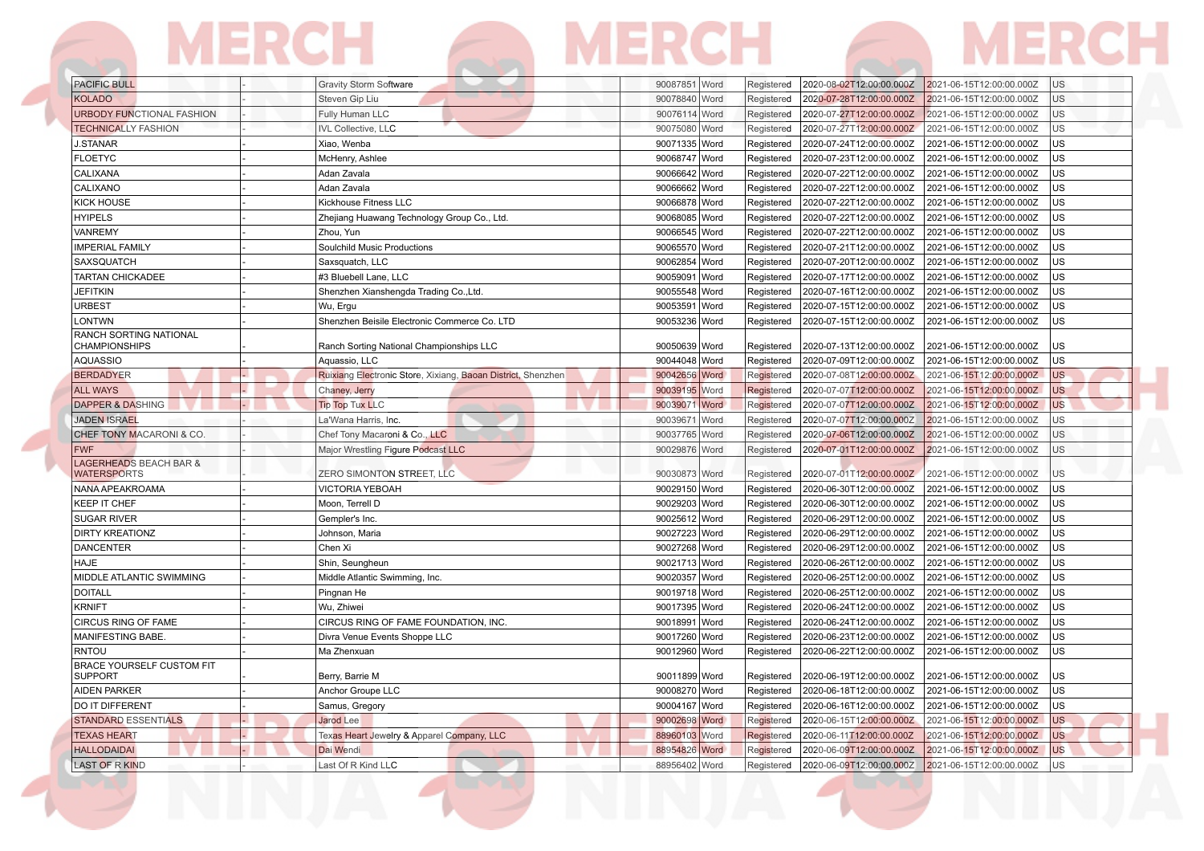## **MERCH MERCH MERCH**  $\sqrt{2}$

| <b>PACIFIC BULL</b>                                     | Gravity Storm Software                                       | 90087851 Word           | Registered<br>2020-08-02T12:00:00.000Z<br>2021-06-15T12:00:00.000Z<br>IUS       |
|---------------------------------------------------------|--------------------------------------------------------------|-------------------------|---------------------------------------------------------------------------------|
| <b>KOLADO</b>                                           | Steven Gip Liu                                               | 90078840 Word           | 2020-07-28T12:00:00.000Z<br>2021-06-15T12:00:00.000Z<br><b>US</b><br>Registered |
| <b>URBODY FUNCTIONAL FASHION</b>                        | Fully Human LLC                                              | 90076114 Word           | 2020-07-27T12:00:00.000Z<br>2021-06-15T12:00:00.000Z<br>US<br>Registered        |
| <b>TECHNICALLY FASHION</b>                              | <b>IVL Collective, LLC</b>                                   | 90075080 Word           | 2020-07-27T12:00:00.000Z<br>US<br>Registered<br>2021-06-15T12:00:00.000Z        |
| <b>J.STANAR</b>                                         | Xiao, Wenba                                                  | 90071335 Word           | 2020-07-24T12:00:00.000Z<br>Registered<br>2021-06-15T12:00:00.000Z<br><b>US</b> |
| <b>FLOETYC</b>                                          | McHenry, Ashlee                                              | 90068747 Word           | US<br>Registered<br>2020-07-23T12:00:00.000Z<br>2021-06-15T12:00:00.000Z        |
| CALIXANA                                                | Adan Zavala                                                  | 90066642 Word           | <b>US</b><br>Registered<br>2020-07-22T12:00:00.000Z<br>2021-06-15T12:00:00.000Z |
| CALIXANO                                                | Adan Zavala                                                  | 90066662 Word           | <b>US</b><br>Registered<br>2020-07-22T12:00:00.000Z<br>2021-06-15T12:00:00.000Z |
| <b>KICK HOUSE</b>                                       | Kickhouse Fitness LLC                                        | 90066878 Word           | <b>US</b><br>Registered<br>2020-07-22T12:00:00.000Z<br>2021-06-15T12:00:00.000Z |
| <b>HYIPELS</b>                                          | Zhejiang Huawang Technology Group Co., Ltd.                  | 90068085 Word           | US<br>Registered<br>2020-07-22T12:00:00.000Z<br>2021-06-15T12:00:00.000Z        |
| <b>VANREMY</b>                                          | Zhou, Yun                                                    | 90066545 Word           | 2020-07-22T12:00:00.000Z<br>2021-06-15T12:00:00.000Z<br>US<br>Registered        |
| <b>IMPERIAL FAMILY</b>                                  | Soulchild Music Productions                                  | 90065570 Word           | <b>US</b><br>Registered<br>2020-07-21T12:00:00.000Z<br>2021-06-15T12:00:00.000Z |
| SAXSQUATCH                                              | Saxsquatch, LLC                                              | 90062854 Word           | <b>US</b><br>Registered<br>2020-07-20T12:00:00.000Z<br>2021-06-15T12:00:00.000Z |
| <b>TARTAN CHICKADEE</b>                                 | #3 Bluebell Lane, LLC                                        | 90059091 Word           | <b>US</b><br>2020-07-17T12:00:00.000Z<br>2021-06-15T12:00:00.000Z<br>Registered |
| <b>JEFITKIN</b>                                         | Shenzhen Xianshengda Trading Co., Ltd.                       | 90055548 Word           | <b>US</b><br>Registered<br>2020-07-16T12:00:00.000Z<br>2021-06-15T12:00:00.000Z |
| <b>URBEST</b>                                           | Wu, Ergu                                                     | 90053591 Word           | <b>US</b><br>Registered<br>2020-07-15T12:00:00.000Z<br>2021-06-15T12:00:00.000Z |
| LONTWN                                                  | Shenzhen Beisile Electronic Commerce Co. LTD                 | 90053236 Word           | 2020-07-15T12:00:00.000Z<br><b>US</b><br>Registered<br>2021-06-15T12:00:00.000Z |
| RANCH SORTING NATIONAL                                  |                                                              |                         |                                                                                 |
| <b>CHAMPIONSHIPS</b>                                    | Ranch Sorting National Championships LLC                     | 90050639 Word           | US<br>2020-07-13T12:00:00.000Z<br>2021-06-15T12:00:00.000Z<br>Registered        |
| <b>AQUASSIO</b>                                         | Aquassio, LLC                                                | 90044048 Word           | <b>US</b><br>Registered<br>2020-07-09T12:00:00.000Z<br>2021-06-15T12:00:00.000Z |
| <b>BERDADYER</b>                                        | Ruixiang Electronic Store, Xixiang, Baoan District, Shenzhen | 90042656 Word           | <b>US</b><br>Registered<br>2020-07-08T12:00:00.000Z<br>2021-06-15T12:00:00.000Z |
| <b>ALL WAYS</b>                                         | Chaney, Jerry                                                | 90039195 Word           | <b>US</b><br>Registered<br>2020-07-07T12:00:00.000Z<br>2021-06-15T12:00:00.000Z |
| <b>DAPPER &amp; DASHING</b>                             | <b>Tip Top Tux LLC</b>                                       | 90039071 Word           | <b>US</b><br>Registered<br>2020-07-07T12:00:00.000Z<br>2021-06-15T12:00:00.000Z |
| <b>JADEN ISRAEL</b>                                     | La'Wana Harris, Inc.                                         | 90039671<br>Word        | US<br>Registered<br>2020-07-07T12:00:00.000Z<br>2021-06-15T12:00:00.000Z        |
| CHEF TONY MACARONI & CO.                                | Chef Tony Macaroni & Co., LLC                                | 90037765 Word           | 2020-07-06T12:00:00.000Z<br><b>US</b><br>Registered<br>2021-06-15T12:00:00.000Z |
| <b>FWF</b>                                              | Major Wrestling Figure Podcast LLC                           | 90029876 Word           | <b>US</b><br>Registered<br>2020-07-01T12:00:00.000Z<br>2021-06-15T12:00:00.000Z |
| <b>LAGERHEADS BEACH BAR &amp;</b><br><b>WATERSPORTS</b> | <b>ZERO SIMONTON STREET, LLC</b>                             | 90030873 Word           | Registered<br>2020-07-01T12:00:00.000Z<br>2021-06-15T12:00:00.000Z<br>US        |
| NANA APEAKROAMA                                         | <b>VICTORIA YEBOAH</b>                                       | 90029150 Word           | Registered<br>2020-06-30T12:00:00.000Z<br><b>US</b><br>2021-06-15T12:00:00.000Z |
| <b>KEEP IT CHEF</b>                                     | Moon, Terrell D                                              | 90029203<br><b>Word</b> | 2020-06-30T12:00:00.000Z<br>Registered<br>2021-06-15T12:00:00.000Z<br><b>US</b> |
| <b>SUGAR RIVER</b>                                      | Gempler's Inc.                                               | 90025612 Word           | 2020-06-29T12:00:00.000Z<br><b>US</b><br>Registered<br>2021-06-15T12:00:00.000Z |
| <b>DIRTY KREATIONZ</b>                                  | Johnson, Maria                                               | 90027223<br>Word        | 2020-06-29T12:00:00.000Z<br>US<br>Registered<br>2021-06-15T12:00:00.000Z        |
| <b>DANCENTER</b>                                        | Chen Xi                                                      | 90027268 Word           | <b>US</b><br>Registered<br>2020-06-29T12:00:00.000Z<br>2021-06-15T12:00:00.000Z |
| <b>HAJE</b>                                             | Shin, Seungheun                                              | 90021713 Word           | <b>US</b><br>Registered<br>2020-06-26T12:00:00.000Z<br>2021-06-15T12:00:00.000Z |
| MIDDLE ATLANTIC SWIMMING                                | Middle Atlantic Swimming, Inc.                               | 90020357 Word           | US<br>Registered<br>2020-06-25T12:00:00.000Z<br>2021-06-15T12:00:00.000Z        |
| <b>DOITALL</b>                                          | Pingnan He                                                   | 90019718 Word           | <b>US</b><br>Registered<br>2020-06-25T12:00:00.000Z<br>2021-06-15T12:00:00.000Z |
| <b>KRNIFT</b>                                           | Wu. Zhiwei                                                   | 90017395 Word           | <b>US</b><br>Registered<br>2020-06-24T12:00:00.000Z<br>2021-06-15T12:00:00.000Z |
| CIRCUS RING OF FAME                                     | CIRCUS RING OF FAME FOUNDATION. INC.                         | 90018991<br><b>Word</b> | <b>US</b><br>Registered<br>2020-06-24T12:00:00.000Z<br>2021-06-15T12:00:00.000Z |
| MANIFESTING BABE.                                       | Divra Venue Events Shoppe LLC                                | 90017260 Word           | US<br>Registered<br>2020-06-23T12:00:00.000Z<br>2021-06-15T12:00:00.000Z        |
| <b>RNTOU</b>                                            | Ma Zhenxuan                                                  | 90012960 Word           | US<br>Registered<br>2020-06-22T12:00:00.000Z<br>2021-06-15T12:00:00.000Z        |
| <b>BRACE YOURSELF CUSTOM FIT</b><br><b>SUPPORT</b>      | Berry, Barrie M                                              | 90011899 Word           | 2020-06-19T12:00:00.000Z<br>2021-06-15T12:00:00.000Z<br>US<br>Registered        |
| <b>AIDEN PARKER</b>                                     | Anchor Groupe LLC                                            | 90008270 Word           | <b>US</b><br>2020-06-18T12:00:00.000Z<br>Registered<br>2021-06-15T12:00:00.000Z |
| DO IT DIFFERENT                                         | Samus, Gregory                                               | 90004167 Word           | <b>US</b><br>Registered<br>2020-06-16T12:00:00.000Z<br>2021-06-15T12:00:00.000Z |
| <b>STANDARD ESSENTIALS</b>                              | Jarod Lee                                                    | 90002698 Word           | <b>US</b><br>Registered<br>2020-06-15T12:00:00.000Z<br>2021-06-15T12:00:00.000Z |
| <b>TEXAS HEART</b>                                      | Texas Heart Jewelry & Apparel Company, LLC                   | 88960103 Word           | <b>US</b><br>Registered<br>2020-06-11T12:00:00.000Z<br>2021-06-15T12:00:00.000Z |
| <b>HALLODAIDAI</b>                                      | Dai Wendi                                                    | 88954826 Word           | <b>US</b><br>Registered<br>2020-06-09T12:00:00.000Z<br>2021-06-15T12:00:00.000Z |
| <b>LAST OF R KIND</b>                                   | Last Of R Kind LLC                                           | 88956402 Word           | <b>US</b><br>2020-06-09T12:00:00.000Z<br>2021-06-15T12:00:00.000Z<br>Registered |
|                                                         |                                                              |                         |                                                                                 |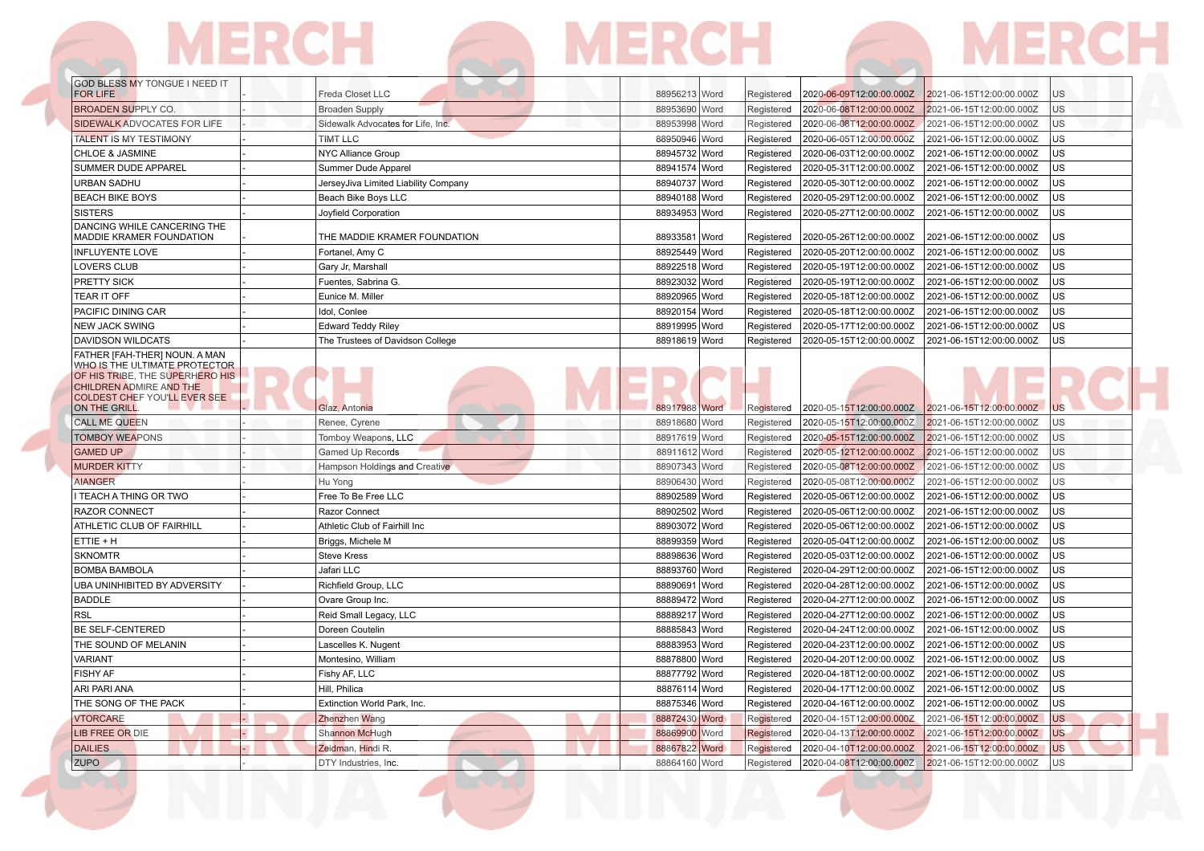## GOD BLESS MY TONGUE I NEED IT  $\sim$  $\mathbb{R}$  $\mathbf{L}$

| <b>FOR LIFE</b>                                                                                                                                                                            | Freda Closet LLC                     | 88956213 Word | Registered<br>2020-06-09T12:00:00.000Z | 2021-06-15T12:00:00.000Z<br><b>US</b>      |
|--------------------------------------------------------------------------------------------------------------------------------------------------------------------------------------------|--------------------------------------|---------------|----------------------------------------|--------------------------------------------|
| <b>BROADEN SUPPLY CO.</b>                                                                                                                                                                  | <b>Broaden Supply</b>                | 88953690 Word | 2020-06-08T12:00:00.000Z<br>Registered | lus<br>2021-06-15T12:00:00.000Z            |
| SIDEWALK ADVOCATES FOR LIFE                                                                                                                                                                | Sidewalk Advocates for Life, Inc.    | 88953998 Word | 2020-06-08T12:00:00.000Z<br>Registered | <b>US</b><br>2021-06-15T12:00:00.000Z      |
| TALENT IS MY TESTIMONY                                                                                                                                                                     | <b>TIMT LLC</b>                      | 88950946 Word | 2020-06-05T12:00:00.000Z<br>Registered | US <sup></sup><br>2021-06-15T12:00:00.000Z |
| <b>CHLOE &amp; JASMINE</b>                                                                                                                                                                 | <b>NYC Alliance Group</b>            | 88945732 Word | Registered<br>2020-06-03T12:00:00.000Z | lus<br>2021-06-15T12:00:00.000Z            |
| SUMMER DUDE APPAREL                                                                                                                                                                        | Summer Dude Apparel                  | 88941574 Word | Registered<br>2020-05-31T12:00:00.000Z | lus<br>2021-06-15T12:00:00.000Z            |
| <b>URBAN SADHU</b>                                                                                                                                                                         | JerseyJiva Limited Liability Company | 88940737 Word | 2020-05-30T12:00:00.000Z<br>Registered | lus<br>2021-06-15T12:00:00.000Z            |
| <b>BEACH BIKE BOYS</b>                                                                                                                                                                     | Beach Bike Boys LLC                  | 88940188 Word | 2020-05-29T12:00:00.000Z<br>Registered | <b>US</b><br>2021-06-15T12:00:00.000Z      |
| <b>SISTERS</b>                                                                                                                                                                             | Joyfield Corporation                 | 88934953 Word | 2020-05-27T12:00:00.000Z<br>Registered | <b>US</b><br>2021-06-15T12:00:00.000Z      |
| DANCING WHILE CANCERING THE<br>MADDIE KRAMER FOUNDATION                                                                                                                                    | THE MADDIE KRAMER FOUNDATION         | 88933581 Word | 2020-05-26T12:00:00.000Z<br>Registered | <b>US</b><br>2021-06-15T12:00:00.000Z      |
| <b>INFLUYENTE LOVE</b>                                                                                                                                                                     | Fortanel, Amy C                      | 88925449 Word | Registered<br>2020-05-20T12:00:00.000Z | lus<br>2021-06-15T12:00:00.000Z            |
| <b>LOVERS CLUB</b>                                                                                                                                                                         | Gary Jr, Marshall                    | 88922518 Word | 2020-05-19T12:00:00.000Z<br>Registered | <b>US</b><br>2021-06-15T12:00:00.000Z      |
| PRETTY SICK                                                                                                                                                                                | Fuentes, Sabrina G.                  | 88923032 Word | Registered<br>2020-05-19T12:00:00.000Z | lus<br>2021-06-15T12:00:00.000Z            |
| <b>TEAR IT OFF</b>                                                                                                                                                                         | Eunice M. Miller                     | 88920965 Word | 2020-05-18T12:00:00.000Z<br>Registered | lus<br>2021-06-15T12:00:00.000Z            |
| <b>PACIFIC DINING CAR</b>                                                                                                                                                                  | Idol, Conlee                         | 88920154 Word | 2020-05-18T12:00:00.000Z<br>Registered | US<br>2021-06-15T12:00:00.000Z             |
| <b>NEW JACK SWING</b>                                                                                                                                                                      | <b>Edward Teddy Riley</b>            | 88919995 Word | 2020-05-17T12:00:00.000Z<br>Registered | <b>US</b><br>2021-06-15T12:00:00.000Z      |
| DAVIDSON WILDCATS                                                                                                                                                                          | The Trustees of Davidson College     | 88918619 Word | 2020-05-15T12:00:00.000Z<br>Registered | US<br>2021-06-15T12:00:00.000Z             |
| FATHER [FAH-THER] NOUN. A MAN<br>WHO IS THE ULTIMATE PROTECTOR<br>OF HIS TRIBE, THE SUPERHERO HIS<br><b>CHILDREN ADMIRE AND THE</b><br><b>COLDEST CHEF YOU'LL EVER SEE</b><br>ON THE GRILL | Glaz, Antonia                        | 88917988 Word | 2020-05-15T12:00:00.000Z<br>Registered | 2021-06-15T12:00:00.000Z<br><b>US</b>      |
| <b>CALL ME QUEEN</b>                                                                                                                                                                       | Renee, Cyrene                        | 88918680 Word | 2020-05-15T12:00:00.000Z<br>Registered | <b>US</b><br>2021-06-15T12:00:00.000Z      |
| <b>TOMBOY WEAPONS</b>                                                                                                                                                                      | Tomboy Weapons, LLC                  | 88917619 Word | 2020-05-15T12:00:00.000Z<br>Registered | 2021-06-15T12:00:00.000Z<br><b>US</b>      |
| <b>GAMED UP</b>                                                                                                                                                                            | <b>Gamed Up Records</b>              | 88911612 Word | Registered<br>2020-05-12T12:00:00.000Z | <b>US</b><br>2021-06-15T12:00:00.000Z      |
| <b>MURDER KITTY</b>                                                                                                                                                                        | Hampson Holdings and Creative        | 88907343 Word | Registered<br>2020-05-08T12:00:00.000Z | <b>US</b><br>2021-06-15T12:00:00.000Z      |
| <b>AIANGER</b>                                                                                                                                                                             | Hu Yong                              | 88906430 Word | Registered<br>2020-05-08T12:00:00.000Z | lus<br>2021-06-15T12:00:00.000Z            |
| TEACH A THING OR TWO                                                                                                                                                                       | Free To Be Free LLC                  | 88902589 Word | Registered<br>2020-05-06T12:00:00.000Z | lus<br>2021-06-15T12:00:00.000Z            |
| <b>RAZOR CONNECT</b>                                                                                                                                                                       | Razor Connect                        | 88902502 Word | 2020-05-06T12:00:00.000Z<br>Registered | lus<br>2021-06-15T12:00:00.000Z            |
| ATHLETIC CLUB OF FAIRHILL                                                                                                                                                                  | Athletic Club of Fairhill Inc        | 88903072 Word | 2020-05-06T12:00:00.000Z<br>Registered | <b>US</b><br>2021-06-15T12:00:00.000Z      |
| ETTIE + H                                                                                                                                                                                  | Briggs, Michele M                    | 88899359 Word | 2020-05-04T12:00:00.000Z<br>Registered | lus<br>2021-06-15T12:00:00.000Z            |
| <b>SKNOMTR</b>                                                                                                                                                                             | <b>Steve Kress</b>                   | 88898636 Word | 2020-05-03T12:00:00.000Z<br>Registered | lus<br>2021-06-15T12:00:00.000Z            |
| <b>BOMBA BAMBOLA</b>                                                                                                                                                                       | Jafari LLC                           | 88893760 Word | 2020-04-29T12:00:00.000Z<br>Registered | lus<br>2021-06-15T12:00:00.000Z            |
| <b>UBA UNINHIBITED BY ADVERSITY</b>                                                                                                                                                        | Richfield Group, LLC                 | 88890691 Word | Registered<br>2020-04-28T12:00:00.000Z | lus<br>2021-06-15T12:00:00.000Z            |
| <b>BADDLE</b>                                                                                                                                                                              | Ovare Group Inc.                     | 88889472 Word | 2020-04-27T12:00:00.000Z<br>Registered | lus<br>2021-06-15T12:00:00.000Z            |
| <b>RSL</b>                                                                                                                                                                                 | Reid Small Legacy, LLC               | 88889217 Word | Registered<br>2020-04-27T12:00:00.000Z | lus<br>2021-06-15T12:00:00.000Z            |
| <b>BE SELF-CENTERED</b>                                                                                                                                                                    | Doreen Coutelin                      | 88885843 Word | 2020-04-24T12:00:00.000Z<br>Registered | 2021-06-15T12:00:00.000Z<br>lus            |
| THE SOUND OF MELANIN                                                                                                                                                                       | Lascelles K. Nugent                  | 88883953 Word | 2020-04-23T12:00:00.000Z<br>Registered | <b>US</b><br>2021-06-15T12:00:00.000Z      |
| <b>VARIANT</b>                                                                                                                                                                             | Montesino, William                   | 88878800 Word | 2020-04-20T12:00:00.000Z<br>Registered | 2021-06-15T12:00:00.000Z<br>lus            |
| <b>FISHY AF</b>                                                                                                                                                                            | Fishy AF, LLC                        | 88877792 Word | 2020-04-18T12:00:00.000Z<br>Registered | lus<br>2021-06-15T12:00:00.000Z            |
| ARI PARI ANA                                                                                                                                                                               | Hill, Philica                        | 88876114 Word | 2020-04-17T12:00:00.000Z<br>Registered | lus<br>2021-06-15T12:00:00.000Z            |
| THE SONG OF THE PACK                                                                                                                                                                       | Extinction World Park, Inc.          | 88875346 Word | 2020-04-16T12:00:00.000Z<br>Registered | US<br>2021-06-15T12:00:00.000Z             |
| <b>VTORCARE</b>                                                                                                                                                                            | Zhenzhen Wang                        | 88872430 Word | 2020-04-15T12:00:00.000Z<br>Registered | <b>US</b><br>2021-06-15T12:00:00.000Z      |
| LIB FREE OR DIE                                                                                                                                                                            | Shannon McHugh                       | 88869900 Word | 2020-04-13T12:00:00.000Z<br>Registered | <b>US</b><br>2021-06-15T12:00:00.000Z      |
| <b>DAILIES</b>                                                                                                                                                                             | Zeidman, Hindi R.                    | 88867822 Word | 2020-04-10T12:00:00.000Z<br>Registered | lus<br>2021-06-15T12:00:00.000Z            |
| <b>ZUPO</b>                                                                                                                                                                                | DTY Industries, Inc.                 | 88864160 Word | 2020-04-08T12:00:00.000Z<br>Registered | <b>US</b><br>2021-06-15T12:00:00.000Z      |

**The Contract of Section** 

**CONTRACTOR** 

**The Contract of Section**